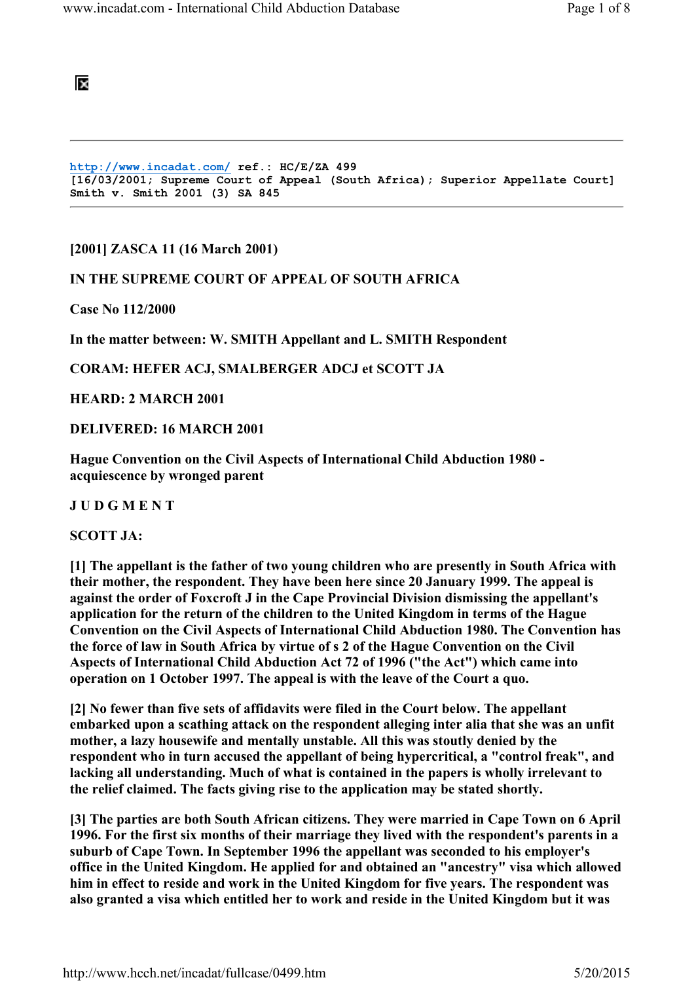

http://www.incadat.com/ ref.: HC/E/ZA 499 [16/03/2001; Supreme Court of Appeal (South Africa); Superior Appellate Court] Smith v. Smith 2001 (3) SA 845

[2001] ZASCA 11 (16 March 2001)

## IN THE SUPREME COURT OF APPEAL OF SOUTH AFRICA

Case No 112/2000

In the matter between: W. SMITH Appellant and L. SMITH Respondent

CORAM: HEFER ACJ, SMALBERGER ADCJ et SCOTT JA

HEARD: 2 MARCH 2001

DELIVERED: 16 MARCH 2001

Hague Convention on the Civil Aspects of International Child Abduction 1980 acquiescence by wronged parent

J U D G M E N T

SCOTT JA:

[1] The appellant is the father of two young children who are presently in South Africa with their mother, the respondent. They have been here since 20 January 1999. The appeal is against the order of Foxcroft J in the Cape Provincial Division dismissing the appellant's application for the return of the children to the United Kingdom in terms of the Hague Convention on the Civil Aspects of International Child Abduction 1980. The Convention has the force of law in South Africa by virtue of s 2 of the Hague Convention on the Civil Aspects of International Child Abduction Act 72 of 1996 ("the Act") which came into operation on 1 October 1997. The appeal is with the leave of the Court a quo.

[2] No fewer than five sets of affidavits were filed in the Court below. The appellant embarked upon a scathing attack on the respondent alleging inter alia that she was an unfit mother, a lazy housewife and mentally unstable. All this was stoutly denied by the respondent who in turn accused the appellant of being hypercritical, a "control freak", and lacking all understanding. Much of what is contained in the papers is wholly irrelevant to the relief claimed. The facts giving rise to the application may be stated shortly.

[3] The parties are both South African citizens. They were married in Cape Town on 6 April 1996. For the first six months of their marriage they lived with the respondent's parents in a suburb of Cape Town. In September 1996 the appellant was seconded to his employer's office in the United Kingdom. He applied for and obtained an "ancestry" visa which allowed him in effect to reside and work in the United Kingdom for five years. The respondent was also granted a visa which entitled her to work and reside in the United Kingdom but it was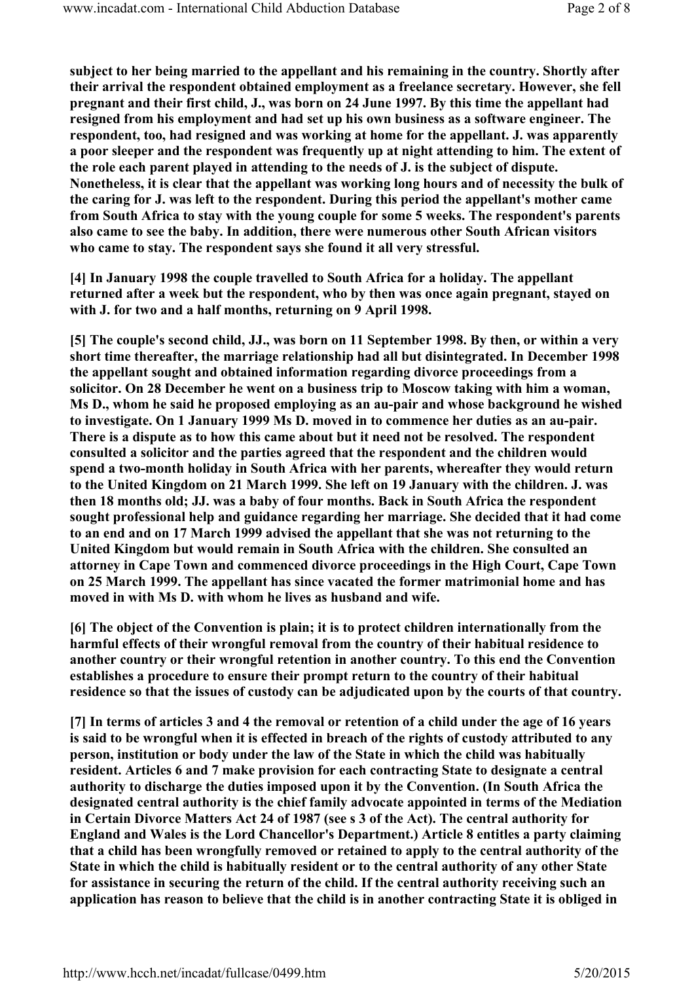subject to her being married to the appellant and his remaining in the country. Shortly after their arrival the respondent obtained employment as a freelance secretary. However, she fell pregnant and their first child, J., was born on 24 June 1997. By this time the appellant had resigned from his employment and had set up his own business as a software engineer. The respondent, too, had resigned and was working at home for the appellant. J. was apparently a poor sleeper and the respondent was frequently up at night attending to him. The extent of the role each parent played in attending to the needs of J. is the subject of dispute. Nonetheless, it is clear that the appellant was working long hours and of necessity the bulk of the caring for J. was left to the respondent. During this period the appellant's mother came from South Africa to stay with the young couple for some 5 weeks. The respondent's parents also came to see the baby. In addition, there were numerous other South African visitors who came to stay. The respondent says she found it all very stressful.

[4] In January 1998 the couple travelled to South Africa for a holiday. The appellant returned after a week but the respondent, who by then was once again pregnant, stayed on with J. for two and a half months, returning on 9 April 1998.

[5] The couple's second child, JJ., was born on 11 September 1998. By then, or within a very short time thereafter, the marriage relationship had all but disintegrated. In December 1998 the appellant sought and obtained information regarding divorce proceedings from a solicitor. On 28 December he went on a business trip to Moscow taking with him a woman, Ms D., whom he said he proposed employing as an au-pair and whose background he wished to investigate. On 1 January 1999 Ms D. moved in to commence her duties as an au-pair. There is a dispute as to how this came about but it need not be resolved. The respondent consulted a solicitor and the parties agreed that the respondent and the children would spend a two-month holiday in South Africa with her parents, whereafter they would return to the United Kingdom on 21 March 1999. She left on 19 January with the children. J. was then 18 months old; JJ. was a baby of four months. Back in South Africa the respondent sought professional help and guidance regarding her marriage. She decided that it had come to an end and on 17 March 1999 advised the appellant that she was not returning to the United Kingdom but would remain in South Africa with the children. She consulted an attorney in Cape Town and commenced divorce proceedings in the High Court, Cape Town on 25 March 1999. The appellant has since vacated the former matrimonial home and has moved in with Ms D. with whom he lives as husband and wife.

[6] The object of the Convention is plain; it is to protect children internationally from the harmful effects of their wrongful removal from the country of their habitual residence to another country or their wrongful retention in another country. To this end the Convention establishes a procedure to ensure their prompt return to the country of their habitual residence so that the issues of custody can be adjudicated upon by the courts of that country.

[7] In terms of articles 3 and 4 the removal or retention of a child under the age of 16 years is said to be wrongful when it is effected in breach of the rights of custody attributed to any person, institution or body under the law of the State in which the child was habitually resident. Articles 6 and 7 make provision for each contracting State to designate a central authority to discharge the duties imposed upon it by the Convention. (In South Africa the designated central authority is the chief family advocate appointed in terms of the Mediation in Certain Divorce Matters Act 24 of 1987 (see s 3 of the Act). The central authority for England and Wales is the Lord Chancellor's Department.) Article 8 entitles a party claiming that a child has been wrongfully removed or retained to apply to the central authority of the State in which the child is habitually resident or to the central authority of any other State for assistance in securing the return of the child. If the central authority receiving such an application has reason to believe that the child is in another contracting State it is obliged in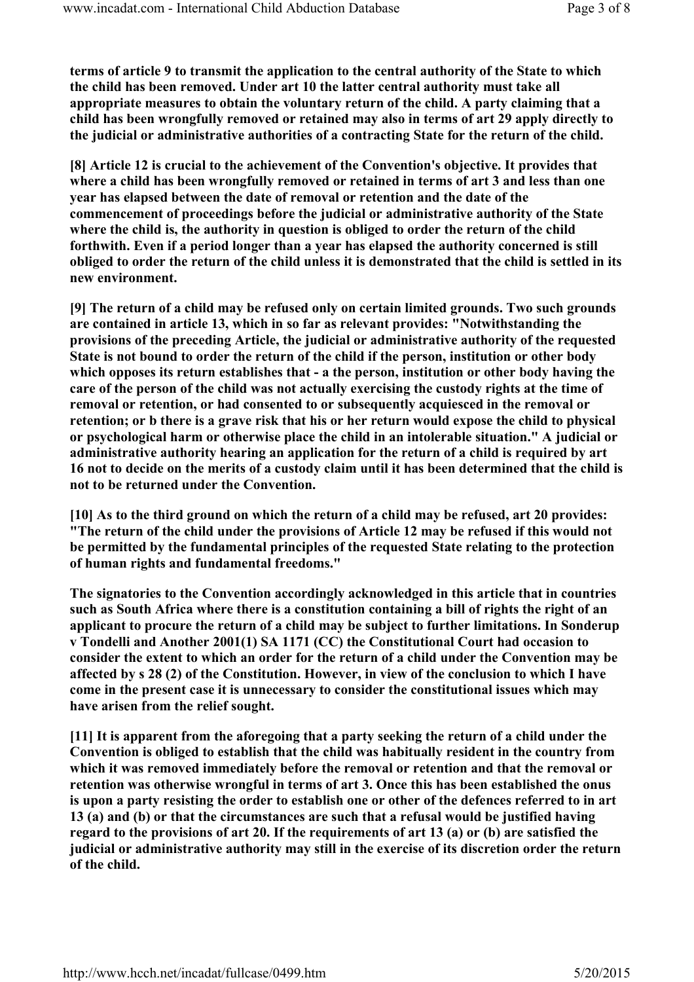terms of article 9 to transmit the application to the central authority of the State to which the child has been removed. Under art 10 the latter central authority must take all appropriate measures to obtain the voluntary return of the child. A party claiming that a child has been wrongfully removed or retained may also in terms of art 29 apply directly to the judicial or administrative authorities of a contracting State for the return of the child.

[8] Article 12 is crucial to the achievement of the Convention's objective. It provides that where a child has been wrongfully removed or retained in terms of art 3 and less than one year has elapsed between the date of removal or retention and the date of the commencement of proceedings before the judicial or administrative authority of the State where the child is, the authority in question is obliged to order the return of the child forthwith. Even if a period longer than a year has elapsed the authority concerned is still obliged to order the return of the child unless it is demonstrated that the child is settled in its new environment.

[9] The return of a child may be refused only on certain limited grounds. Two such grounds are contained in article 13, which in so far as relevant provides: "Notwithstanding the provisions of the preceding Article, the judicial or administrative authority of the requested State is not bound to order the return of the child if the person, institution or other body which opposes its return establishes that - a the person, institution or other body having the care of the person of the child was not actually exercising the custody rights at the time of removal or retention, or had consented to or subsequently acquiesced in the removal or retention; or b there is a grave risk that his or her return would expose the child to physical or psychological harm or otherwise place the child in an intolerable situation." A judicial or administrative authority hearing an application for the return of a child is required by art 16 not to decide on the merits of a custody claim until it has been determined that the child is not to be returned under the Convention.

[10] As to the third ground on which the return of a child may be refused, art 20 provides: "The return of the child under the provisions of Article 12 may be refused if this would not be permitted by the fundamental principles of the requested State relating to the protection of human rights and fundamental freedoms."

The signatories to the Convention accordingly acknowledged in this article that in countries such as South Africa where there is a constitution containing a bill of rights the right of an applicant to procure the return of a child may be subject to further limitations. In Sonderup v Tondelli and Another 2001(1) SA 1171 (CC) the Constitutional Court had occasion to consider the extent to which an order for the return of a child under the Convention may be affected by s 28 (2) of the Constitution. However, in view of the conclusion to which I have come in the present case it is unnecessary to consider the constitutional issues which may have arisen from the relief sought.

[11] It is apparent from the aforegoing that a party seeking the return of a child under the Convention is obliged to establish that the child was habitually resident in the country from which it was removed immediately before the removal or retention and that the removal or retention was otherwise wrongful in terms of art 3. Once this has been established the onus is upon a party resisting the order to establish one or other of the defences referred to in art 13 (a) and (b) or that the circumstances are such that a refusal would be justified having regard to the provisions of art 20. If the requirements of art 13 (a) or (b) are satisfied the judicial or administrative authority may still in the exercise of its discretion order the return of the child.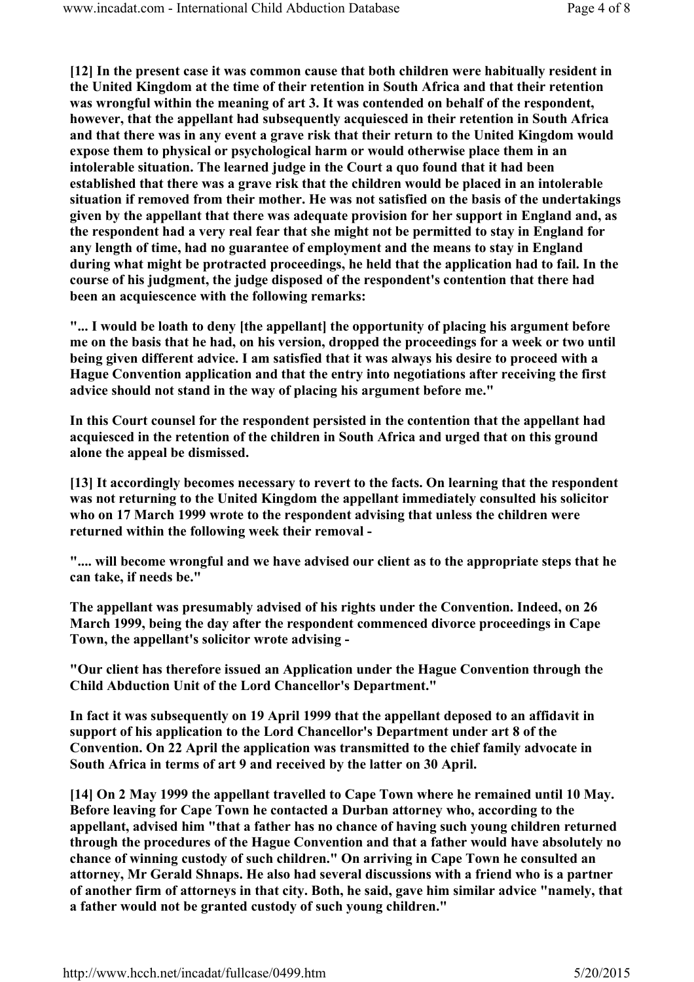[12] In the present case it was common cause that both children were habitually resident in the United Kingdom at the time of their retention in South Africa and that their retention was wrongful within the meaning of art 3. It was contended on behalf of the respondent, however, that the appellant had subsequently acquiesced in their retention in South Africa and that there was in any event a grave risk that their return to the United Kingdom would expose them to physical or psychological harm or would otherwise place them in an intolerable situation. The learned judge in the Court a quo found that it had been established that there was a grave risk that the children would be placed in an intolerable situation if removed from their mother. He was not satisfied on the basis of the undertakings given by the appellant that there was adequate provision for her support in England and, as the respondent had a very real fear that she might not be permitted to stay in England for any length of time, had no guarantee of employment and the means to stay in England during what might be protracted proceedings, he held that the application had to fail. In the course of his judgment, the judge disposed of the respondent's contention that there had been an acquiescence with the following remarks:

"... I would be loath to deny [the appellant] the opportunity of placing his argument before me on the basis that he had, on his version, dropped the proceedings for a week or two until being given different advice. I am satisfied that it was always his desire to proceed with a Hague Convention application and that the entry into negotiations after receiving the first advice should not stand in the way of placing his argument before me."

In this Court counsel for the respondent persisted in the contention that the appellant had acquiesced in the retention of the children in South Africa and urged that on this ground alone the appeal be dismissed.

[13] It accordingly becomes necessary to revert to the facts. On learning that the respondent was not returning to the United Kingdom the appellant immediately consulted his solicitor who on 17 March 1999 wrote to the respondent advising that unless the children were returned within the following week their removal -

".... will become wrongful and we have advised our client as to the appropriate steps that he can take, if needs be."

The appellant was presumably advised of his rights under the Convention. Indeed, on 26 March 1999, being the day after the respondent commenced divorce proceedings in Cape Town, the appellant's solicitor wrote advising -

"Our client has therefore issued an Application under the Hague Convention through the Child Abduction Unit of the Lord Chancellor's Department."

In fact it was subsequently on 19 April 1999 that the appellant deposed to an affidavit in support of his application to the Lord Chancellor's Department under art 8 of the Convention. On 22 April the application was transmitted to the chief family advocate in South Africa in terms of art 9 and received by the latter on 30 April.

[14] On 2 May 1999 the appellant travelled to Cape Town where he remained until 10 May. Before leaving for Cape Town he contacted a Durban attorney who, according to the appellant, advised him "that a father has no chance of having such young children returned through the procedures of the Hague Convention and that a father would have absolutely no chance of winning custody of such children." On arriving in Cape Town he consulted an attorney, Mr Gerald Shnaps. He also had several discussions with a friend who is a partner of another firm of attorneys in that city. Both, he said, gave him similar advice "namely, that a father would not be granted custody of such young children."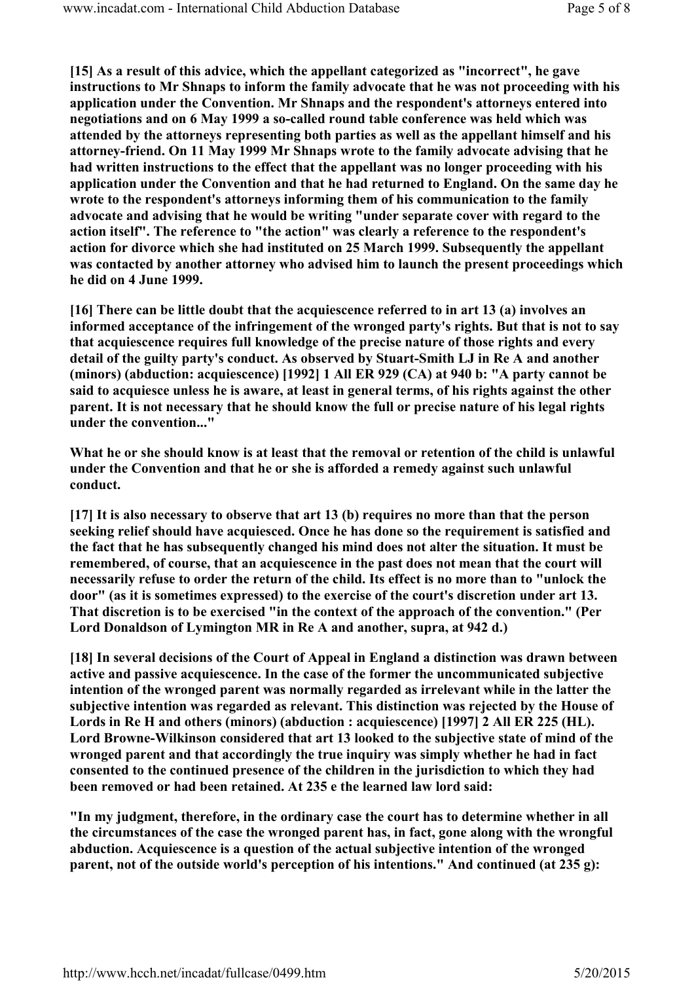[15] As a result of this advice, which the appellant categorized as "incorrect", he gave instructions to Mr Shnaps to inform the family advocate that he was not proceeding with his application under the Convention. Mr Shnaps and the respondent's attorneys entered into negotiations and on 6 May 1999 a so-called round table conference was held which was attended by the attorneys representing both parties as well as the appellant himself and his attorney-friend. On 11 May 1999 Mr Shnaps wrote to the family advocate advising that he had written instructions to the effect that the appellant was no longer proceeding with his application under the Convention and that he had returned to England. On the same day he wrote to the respondent's attorneys informing them of his communication to the family advocate and advising that he would be writing "under separate cover with regard to the action itself". The reference to "the action" was clearly a reference to the respondent's action for divorce which she had instituted on 25 March 1999. Subsequently the appellant was contacted by another attorney who advised him to launch the present proceedings which he did on 4 June 1999.

[16] There can be little doubt that the acquiescence referred to in art 13 (a) involves an informed acceptance of the infringement of the wronged party's rights. But that is not to say that acquiescence requires full knowledge of the precise nature of those rights and every detail of the guilty party's conduct. As observed by Stuart-Smith LJ in Re A and another (minors) (abduction: acquiescence) [1992] 1 All ER 929 (CA) at 940 b: "A party cannot be said to acquiesce unless he is aware, at least in general terms, of his rights against the other parent. It is not necessary that he should know the full or precise nature of his legal rights under the convention..."

What he or she should know is at least that the removal or retention of the child is unlawful under the Convention and that he or she is afforded a remedy against such unlawful conduct.

[17] It is also necessary to observe that art 13 (b) requires no more than that the person seeking relief should have acquiesced. Once he has done so the requirement is satisfied and the fact that he has subsequently changed his mind does not alter the situation. It must be remembered, of course, that an acquiescence in the past does not mean that the court will necessarily refuse to order the return of the child. Its effect is no more than to "unlock the door" (as it is sometimes expressed) to the exercise of the court's discretion under art 13. That discretion is to be exercised "in the context of the approach of the convention." (Per Lord Donaldson of Lymington MR in Re A and another, supra, at 942 d.)

[18] In several decisions of the Court of Appeal in England a distinction was drawn between active and passive acquiescence. In the case of the former the uncommunicated subjective intention of the wronged parent was normally regarded as irrelevant while in the latter the subjective intention was regarded as relevant. This distinction was rejected by the House of Lords in Re H and others (minors) (abduction : acquiescence) [1997] 2 All ER 225 (HL). Lord Browne-Wilkinson considered that art 13 looked to the subjective state of mind of the wronged parent and that accordingly the true inquiry was simply whether he had in fact consented to the continued presence of the children in the jurisdiction to which they had been removed or had been retained. At 235 e the learned law lord said:

"In my judgment, therefore, in the ordinary case the court has to determine whether in all the circumstances of the case the wronged parent has, in fact, gone along with the wrongful abduction. Acquiescence is a question of the actual subjective intention of the wronged parent, not of the outside world's perception of his intentions." And continued (at 235 g):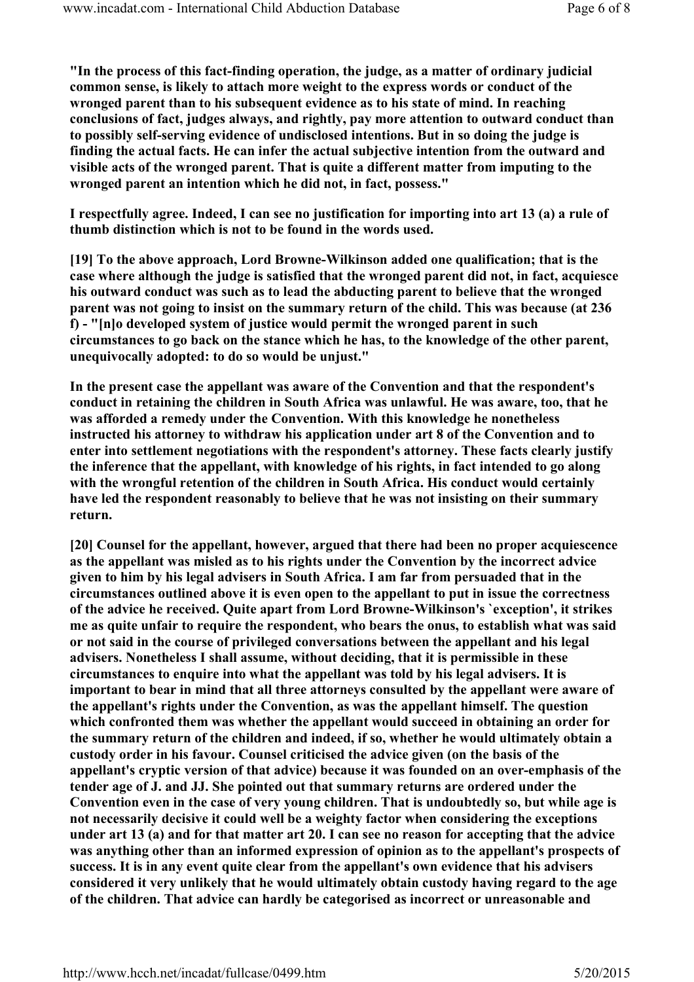"In the process of this fact-finding operation, the judge, as a matter of ordinary judicial common sense, is likely to attach more weight to the express words or conduct of the wronged parent than to his subsequent evidence as to his state of mind. In reaching conclusions of fact, judges always, and rightly, pay more attention to outward conduct than to possibly self-serving evidence of undisclosed intentions. But in so doing the judge is finding the actual facts. He can infer the actual subjective intention from the outward and visible acts of the wronged parent. That is quite a different matter from imputing to the wronged parent an intention which he did not, in fact, possess."

I respectfully agree. Indeed, I can see no justification for importing into art 13 (a) a rule of thumb distinction which is not to be found in the words used.

[19] To the above approach, Lord Browne-Wilkinson added one qualification; that is the case where although the judge is satisfied that the wronged parent did not, in fact, acquiesce his outward conduct was such as to lead the abducting parent to believe that the wronged parent was not going to insist on the summary return of the child. This was because (at 236 f) - "[n]o developed system of justice would permit the wronged parent in such circumstances to go back on the stance which he has, to the knowledge of the other parent, unequivocally adopted: to do so would be unjust."

In the present case the appellant was aware of the Convention and that the respondent's conduct in retaining the children in South Africa was unlawful. He was aware, too, that he was afforded a remedy under the Convention. With this knowledge he nonetheless instructed his attorney to withdraw his application under art 8 of the Convention and to enter into settlement negotiations with the respondent's attorney. These facts clearly justify the inference that the appellant, with knowledge of his rights, in fact intended to go along with the wrongful retention of the children in South Africa. His conduct would certainly have led the respondent reasonably to believe that he was not insisting on their summary return.

[20] Counsel for the appellant, however, argued that there had been no proper acquiescence as the appellant was misled as to his rights under the Convention by the incorrect advice given to him by his legal advisers in South Africa. I am far from persuaded that in the circumstances outlined above it is even open to the appellant to put in issue the correctness of the advice he received. Quite apart from Lord Browne-Wilkinson's `exception', it strikes me as quite unfair to require the respondent, who bears the onus, to establish what was said or not said in the course of privileged conversations between the appellant and his legal advisers. Nonetheless I shall assume, without deciding, that it is permissible in these circumstances to enquire into what the appellant was told by his legal advisers. It is important to bear in mind that all three attorneys consulted by the appellant were aware of the appellant's rights under the Convention, as was the appellant himself. The question which confronted them was whether the appellant would succeed in obtaining an order for the summary return of the children and indeed, if so, whether he would ultimately obtain a custody order in his favour. Counsel criticised the advice given (on the basis of the appellant's cryptic version of that advice) because it was founded on an over-emphasis of the tender age of J. and JJ. She pointed out that summary returns are ordered under the Convention even in the case of very young children. That is undoubtedly so, but while age is not necessarily decisive it could well be a weighty factor when considering the exceptions under art 13 (a) and for that matter art 20. I can see no reason for accepting that the advice was anything other than an informed expression of opinion as to the appellant's prospects of success. It is in any event quite clear from the appellant's own evidence that his advisers considered it very unlikely that he would ultimately obtain custody having regard to the age of the children. That advice can hardly be categorised as incorrect or unreasonable and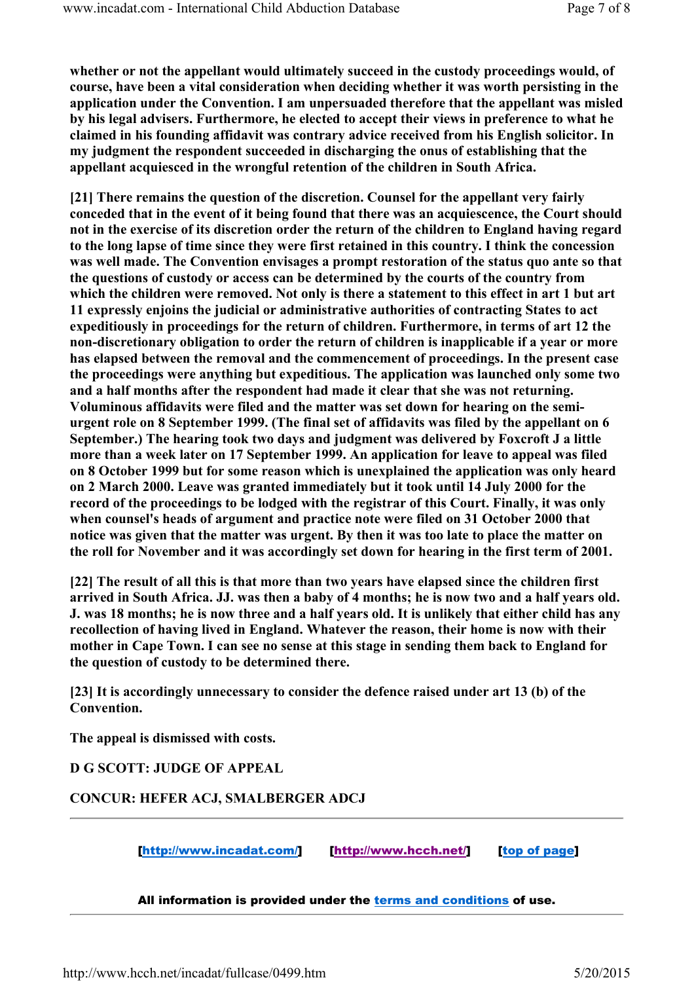whether or not the appellant would ultimately succeed in the custody proceedings would, of course, have been a vital consideration when deciding whether it was worth persisting in the application under the Convention. I am unpersuaded therefore that the appellant was misled by his legal advisers. Furthermore, he elected to accept their views in preference to what he claimed in his founding affidavit was contrary advice received from his English solicitor. In my judgment the respondent succeeded in discharging the onus of establishing that the appellant acquiesced in the wrongful retention of the children in South Africa.

[21] There remains the question of the discretion. Counsel for the appellant very fairly conceded that in the event of it being found that there was an acquiescence, the Court should not in the exercise of its discretion order the return of the children to England having regard to the long lapse of time since they were first retained in this country. I think the concession was well made. The Convention envisages a prompt restoration of the status quo ante so that the questions of custody or access can be determined by the courts of the country from which the children were removed. Not only is there a statement to this effect in art 1 but art 11 expressly enjoins the judicial or administrative authorities of contracting States to act expeditiously in proceedings for the return of children. Furthermore, in terms of art 12 the non-discretionary obligation to order the return of children is inapplicable if a year or more has elapsed between the removal and the commencement of proceedings. In the present case the proceedings were anything but expeditious. The application was launched only some two and a half months after the respondent had made it clear that she was not returning. Voluminous affidavits were filed and the matter was set down for hearing on the semiurgent role on 8 September 1999. (The final set of affidavits was filed by the appellant on 6 September.) The hearing took two days and judgment was delivered by Foxcroft J a little more than a week later on 17 September 1999. An application for leave to appeal was filed on 8 October 1999 but for some reason which is unexplained the application was only heard on 2 March 2000. Leave was granted immediately but it took until 14 July 2000 for the record of the proceedings to be lodged with the registrar of this Court. Finally, it was only when counsel's heads of argument and practice note were filed on 31 October 2000 that notice was given that the matter was urgent. By then it was too late to place the matter on the roll for November and it was accordingly set down for hearing in the first term of 2001.

[22] The result of all this is that more than two years have elapsed since the children first arrived in South Africa. JJ. was then a baby of 4 months; he is now two and a half years old. J. was 18 months; he is now three and a half years old. It is unlikely that either child has any recollection of having lived in England. Whatever the reason, their home is now with their mother in Cape Town. I can see no sense at this stage in sending them back to England for the question of custody to be determined there.

[23] It is accordingly unnecessary to consider the defence raised under art 13 (b) of the Convention.

The appeal is dismissed with costs.

D G SCOTT: JUDGE OF APPEAL

CONCUR: HEFER ACJ, SMALBERGER ADCJ

[http://www.incadat.com/] [http://www.hcch.net/] [top of page]

All information is provided under the terms and conditions of use.